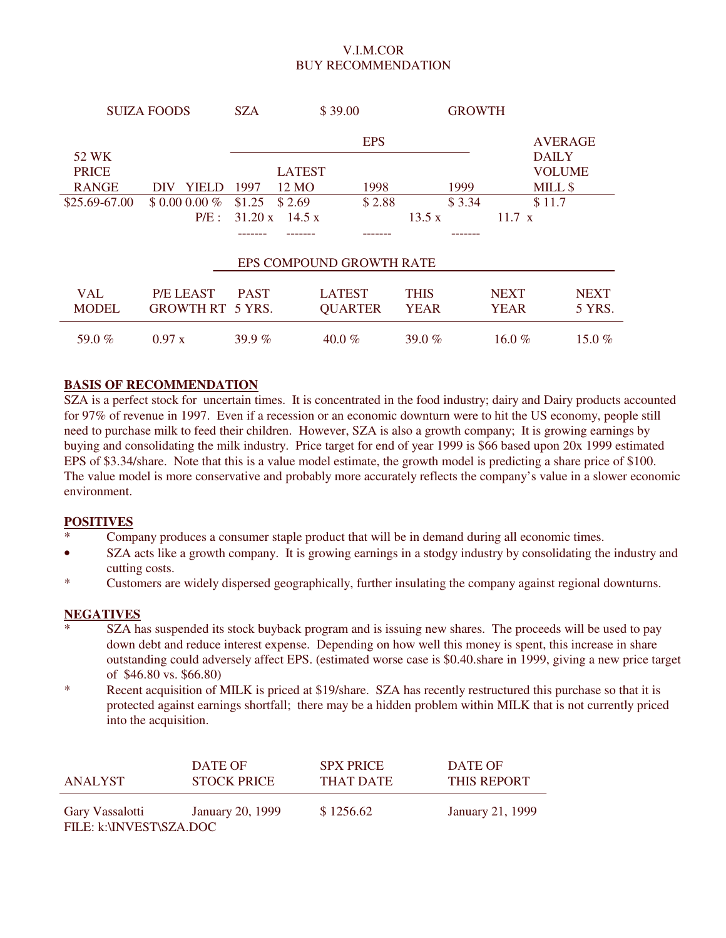### V.I.M.COR BUY RECOMMENDATION

| <b>SUIZA FOODS</b> |                         | \$39.00<br><b>SZA</b> |               |                          | <b>GROWTH</b> |        |               |                         |             |
|--------------------|-------------------------|-----------------------|---------------|--------------------------|---------------|--------|---------------|-------------------------|-------------|
| 52 WK              |                         |                       |               | <b>EPS</b>               |               |        |               | AVERAGE<br><b>DAILY</b> |             |
| <b>PRICE</b>       |                         |                       | <b>LATEST</b> |                          |               |        |               | <b>VOLUME</b>           |             |
| <b>RANGE</b>       | YIELD<br><b>DIV</b>     | 1997                  | 12 MO         | 1998                     |               | 1999   |               | MILL \$                 |             |
| \$25.69-67.00      | $$0.00000\%$            | \$1.25                | \$2.69        | \$2.88                   |               | \$3.34 |               | \$11.7                  |             |
|                    | P/E:                    | $31.20 \text{ x}$     | 14.5 x        |                          | 13.5 x        |        | $11.7 \times$ |                         |             |
|                    |                         |                       |               |                          |               |        |               |                         |             |
|                    |                         |                       |               | EPS COMPOUND GROWTH RATE |               |        |               |                         |             |
| <b>VAL</b>         | <b>P/E LEAST</b>        | <b>PAST</b>           |               | <b>LATEST</b>            | <b>THIS</b>   |        | <b>NEXT</b>   |                         | <b>NEXT</b> |
| <b>MODEL</b>       | <b>GROWTH RT 5 YRS.</b> |                       |               | <b>QUARTER</b>           | <b>YEAR</b>   |        | <b>YEAR</b>   |                         | 5 YRS.      |
| 59.0 $%$           | 0.97 x                  | 39.9 $%$              |               | $40.0 \%$                | 39.0 $%$      |        | 16.0 $%$      |                         | 15.0 $%$    |

### **BASIS OF RECOMMENDATION**

SZA is a perfect stock for uncertain times. It is concentrated in the food industry; dairy and Dairy products accounted for 97% of revenue in 1997. Even if a recession or an economic downturn were to hit the US economy, people still need to purchase milk to feed their children. However, SZA is also a growth company; It is growing earnings by buying and consolidating the milk industry. Price target for end of year 1999 is \$66 based upon 20x 1999 estimated EPS of \$3.34/share. Note that this is a value model estimate, the growth model is predicting a share price of \$100. The value model is more conservative and probably more accurately reflects the company's value in a slower economic environment.

#### **POSITIVES**

- Company produces a consumer staple product that will be in demand during all economic times.
- SZA acts like a growth company. It is growing earnings in a stodgy industry by consolidating the industry and cutting costs.
- \* Customers are widely dispersed geographically, further insulating the company against regional downturns.

### **NEGATIVES**

- SZA has suspended its stock buyback program and is issuing new shares. The proceeds will be used to pay down debt and reduce interest expense. Depending on how well this money is spent, this increase in share outstanding could adversely affect EPS. (estimated worse case is \$0.40.share in 1999, giving a new price target of \$46.80 vs. \$66.80)
- \* Recent acquisition of MILK is priced at \$19/share. SZA has recently restructured this purchase so that it is protected against earnings shortfall; there may be a hidden problem within MILK that is not currently priced into the acquisition.

| ANALYST                                    | DATE OF            | <b>SPX PRICE</b> | DATE OF            |
|--------------------------------------------|--------------------|------------------|--------------------|
|                                            | <b>STOCK PRICE</b> | THAT DATE        | <b>THIS REPORT</b> |
| Gary Vassalotti<br>FILE: k:\INVEST\SZA.DOC | January 20, 1999   | \$1256.62        | January 21, 1999   |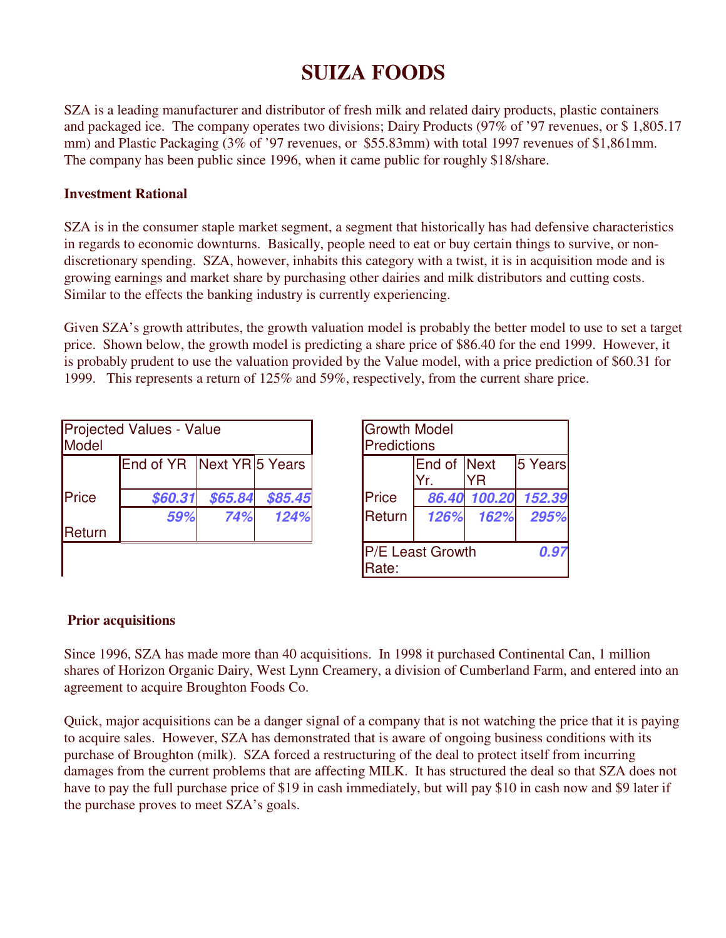# **SUIZA FOODS**

SZA is a leading manufacturer and distributor of fresh milk and related dairy products, plastic containers and packaged ice. The company operates two divisions; Dairy Products (97% of '97 revenues, or \$ 1,805.17 mm) and Plastic Packaging (3% of '97 revenues, or \$55.83mm) with total 1997 revenues of \$1,861mm. The company has been public since 1996, when it came public for roughly \$18/share.

## **Investment Rational**

SZA is in the consumer staple market segment, a segment that historically has had defensive characteristics in regards to economic downturns. Basically, people need to eat or buy certain things to survive, or nondiscretionary spending. SZA, however, inhabits this category with a twist, it is in acquisition mode and is growing earnings and market share by purchasing other dairies and milk distributors and cutting costs. Similar to the effects the banking industry is currently experiencing.

Given SZA's growth attributes, the growth valuation model is probably the better model to use to set a target price. Shown below, the growth model is predicting a share price of \$86.40 for the end 1999. However, it is probably prudent to use the valuation provided by the Value model, with a price prediction of \$60.31 for 1999. This represents a return of 125% and 59%, respectively, from the current share price.

| Model  | Projected Values - Value    | <b>Growth Model</b><br><b>Predictions</b> |         |                  |                    |         |               |
|--------|-----------------------------|-------------------------------------------|---------|------------------|--------------------|---------|---------------|
|        | End of YR   Next YR 5 Years |                                           |         |                  | End of Next<br>Yr. | 5 Years |               |
| Price  | \$60.31                     | \$65.84                                   | \$85.45 | <b>Price</b>     | 86.40              |         | 100.20 152.39 |
|        | 59%                         | 74%                                       | 124%    | <b>I</b> Return  | 126%               | 162%    | 295%          |
| Return |                             |                                           |         |                  |                    |         |               |
|        |                             |                                           |         | P/E Least Growth |                    |         | 0.97          |

| s - Value |                      |         | <b>Growth Model</b><br>Predictions |                         |      |                     |  |
|-----------|----------------------|---------|------------------------------------|-------------------------|------|---------------------|--|
|           | YR   Next YR 5 Years |         |                                    | End of Next<br>Yr.      | ΥR   | 5 Years             |  |
| 0.31      | \$65.84              | \$85.45 | Price                              |                         |      | 86.40 100.20 152.39 |  |
| 59%       | 74%                  | 124%    | Return                             | 126%                    | 162% | 295%                |  |
|           |                      |         | Rate:                              | <b>P/E Least Growth</b> |      | 0.97                |  |

## **Prior acquisitions**

 $\mathsf{l}$ 

Since 1996, SZA has made more than 40 acquisitions. In 1998 it purchased Continental Can, 1 million shares of Horizon Organic Dairy, West Lynn Creamery, a division of Cumberland Farm, and entered into an agreement to acquire Broughton Foods Co.

Quick, major acquisitions can be a danger signal of a company that is not watching the price that it is paying to acquire sales. However, SZA has demonstrated that is aware of ongoing business conditions with its purchase of Broughton (milk). SZA forced a restructuring of the deal to protect itself from incurring damages from the current problems that are affecting MILK. It has structured the deal so that SZA does not have to pay the full purchase price of \$19 in cash immediately, but will pay \$10 in cash now and \$9 later if the purchase proves to meet SZA's goals.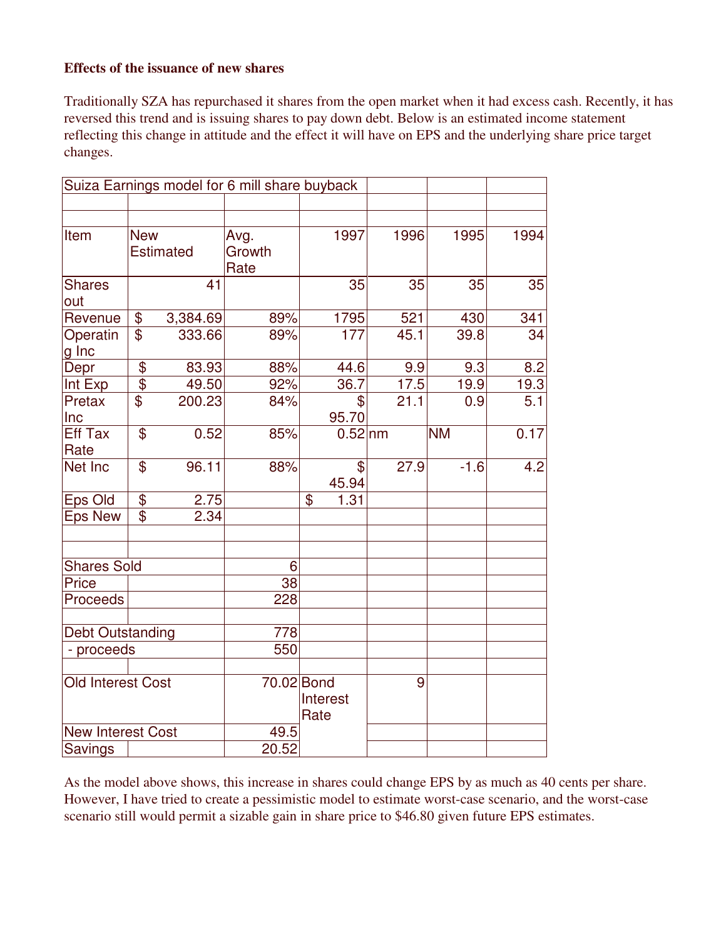## **Effects of the issuance of new shares**

Traditionally SZA has repurchased it shares from the open market when it had excess cash. Recently, it has reversed this trend and is issuing shares to pay down debt. Below is an estimated income statement reflecting this change in attitude and the effect it will have on EPS and the underlying share price target changes.

|                          |                           |                  | Suiza Earnings model for 6 mill share buyback |                  |      |           |      |
|--------------------------|---------------------------|------------------|-----------------------------------------------|------------------|------|-----------|------|
|                          |                           |                  |                                               |                  |      |           |      |
| Item                     | <b>New</b>                | <b>Estimated</b> | Avg.<br>Growth<br>Rate                        | 1997             | 1996 | 1995      | 1994 |
| <b>Shares</b><br>out     |                           | 41               |                                               | 35               | 35   | 35        | 35   |
| Revenue                  | \$                        | 3,384.69         | 89%                                           | 1795             | 521  | 430       | 341  |
| Operatin<br>g Inc        | $\overline{\mathbb{S}}$   | 333.66           | 89%                                           | 177              | 45.1 | 39.8      | 34   |
| Depr                     | \$                        | 83.93            | 88%                                           | 44.6             | 9.9  | 9.3       | 8.2  |
| Int Exp                  | $\overline{\mathfrak{s}}$ | 49.50            | 92%                                           | 36.7             | 17.5 | 19.9      | 19.3 |
| Pretax<br>Inc            | $\mathfrak{S}$            | 200.23           | 84%                                           | \$<br>95.70      | 21.1 | 0.9       | 5.1  |
| <b>Eff Tax</b><br>Rate   | \$                        | 0.52             | 85%                                           | $0.52$ nm        |      | <b>NM</b> | 0.17 |
| Net Inc                  | \$                        | 96.11            | 88%                                           | \$<br>45.94      | 27.9 | $-1.6$    | 4.2  |
| <b>Eps Old</b>           | \$                        | 2.75             |                                               | \$<br>1.31       |      |           |      |
| <b>Eps New</b>           | \$                        | 2.34             |                                               |                  |      |           |      |
| <b>Shares Sold</b>       |                           |                  | 6                                             |                  |      |           |      |
| Price                    |                           |                  | 38                                            |                  |      |           |      |
| Proceeds                 |                           |                  | 228                                           |                  |      |           |      |
| <b>Debt Outstanding</b>  |                           |                  | 778                                           |                  |      |           |      |
| - proceeds               |                           |                  | 550                                           |                  |      |           |      |
| Old Interest Cost        |                           |                  | 70.02 Bond                                    | Interest<br>Rate | 9    |           |      |
| <b>New Interest Cost</b> |                           |                  | 49.5                                          |                  |      |           |      |
| <b>Savings</b>           |                           |                  | 20.52                                         |                  |      |           |      |

As the model above shows, this increase in shares could change EPS by as much as 40 cents per share. However, I have tried to create a pessimistic model to estimate worst-case scenario, and the worst-case scenario still would permit a sizable gain in share price to \$46.80 given future EPS estimates.